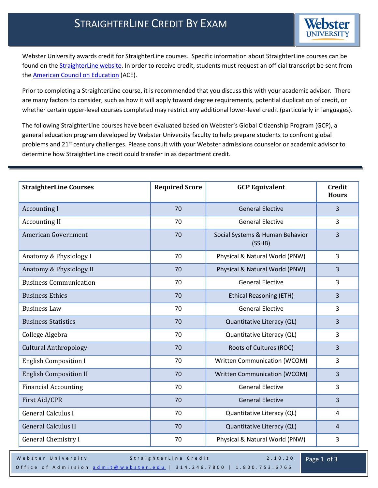

Webster University awards credit for StraighterLine courses. Specific information about StraighterLine courses can be found on th[e StraighterLine website.](https://www.straighterline.com/online-college-courses/business/business-ethics/) In order to receive credit, students must request an official transcript be sent from the [American Council on Education](https://www2.acenet.edu/credit/?fuseaction=transcripts.main) (ACE).

Prior to completing a StraighterLine course, it is recommended that you discuss this with your academic advisor. There are many factors to consider, such as how it will apply toward degree requirements, potential duplication of credit, or whether certain upper-level courses completed may restrict any additional lower-level credit (particularly in languages).

The following StraighterLine courses have been evaluated based on Webster's Global Citizenship Program (GCP), a general education program developed by Webster University faculty to help prepare students to confront global problems and 21<sup>st</sup> century challenges. Please consult with your Webster admissions counselor or academic advisor to determine how StraighterLine credit could transfer in as department credit.

| <b>StraighterLine Courses</b> | <b>Required Score</b> | <b>GCP Equivalent</b>                     | <b>Credit</b><br><b>Hours</b> |
|-------------------------------|-----------------------|-------------------------------------------|-------------------------------|
| <b>Accounting I</b>           | 70                    | <b>General Elective</b>                   | $\overline{3}$                |
| <b>Accounting II</b>          | 70                    | <b>General Elective</b>                   | 3                             |
| <b>American Government</b>    | 70                    | Social Systems & Human Behavior<br>(SSHB) | $\overline{3}$                |
| Anatomy & Physiology I        | 70                    | Physical & Natural World (PNW)            | $\overline{3}$                |
| Anatomy & Physiology II       | 70                    | Physical & Natural World (PNW)            | 3                             |
| <b>Business Communication</b> | 70                    | <b>General Elective</b>                   | $\overline{3}$                |
| <b>Business Ethics</b>        | 70                    | <b>Ethical Reasoning (ETH)</b>            | $\overline{3}$                |
| <b>Business Law</b>           | 70                    | <b>General Elective</b>                   | $\overline{3}$                |
| <b>Business Statistics</b>    | 70                    | Quantitative Literacy (QL)                | $\overline{3}$                |
| College Algebra               | 70                    | Quantitative Literacy (QL)                | 3                             |
| <b>Cultural Anthropology</b>  | 70                    | Roots of Cultures (ROC)                   | $\overline{3}$                |
| <b>English Composition I</b>  | 70                    | Written Communication (WCOM)              | 3                             |
| <b>English Composition II</b> | 70                    | Written Communication (WCOM)              | $\overline{3}$                |
| <b>Financial Accounting</b>   | 70                    | <b>General Elective</b>                   | $\overline{3}$                |
| First Aid/CPR                 | 70                    | <b>General Elective</b>                   | $\overline{3}$                |
| <b>General Calculus I</b>     | 70                    | Quantitative Literacy (QL)                | $\overline{4}$                |
| <b>General Calculus II</b>    | 70                    | Quantitative Literacy (QL)                | $\overline{4}$                |
| <b>General Chemistry I</b>    | 70                    | Physical & Natural World (PNW)            | 3                             |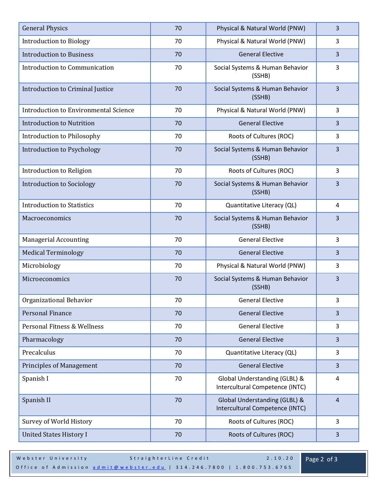| <b>General Physics</b>                       | 70 | Physical & Natural World (PNW)                                   | 3              |
|----------------------------------------------|----|------------------------------------------------------------------|----------------|
| <b>Introduction to Biology</b>               | 70 | Physical & Natural World (PNW)                                   | 3              |
| <b>Introduction to Business</b>              | 70 | <b>General Elective</b>                                          | 3              |
| Introduction to Communication                | 70 | Social Systems & Human Behavior<br>(SSHB)                        | 3              |
| Introduction to Criminal Justice             | 70 | Social Systems & Human Behavior<br>(SSHB)                        | 3              |
| <b>Introduction to Environmental Science</b> | 70 | Physical & Natural World (PNW)                                   | 3              |
| <b>Introduction to Nutrition</b>             | 70 | <b>General Elective</b>                                          | 3              |
| Introduction to Philosophy                   | 70 | Roots of Cultures (ROC)                                          | 3              |
| Introduction to Psychology                   | 70 | Social Systems & Human Behavior<br>(SSHB)                        | 3              |
| Introduction to Religion                     | 70 | Roots of Cultures (ROC)                                          | 3              |
| <b>Introduction to Sociology</b>             | 70 | Social Systems & Human Behavior<br>(SSHB)                        | 3              |
| <b>Introduction to Statistics</b>            | 70 | Quantitative Literacy (QL)                                       | 4              |
| Macroeconomics                               | 70 | Social Systems & Human Behavior<br>(SSHB)                        | 3              |
| <b>Managerial Accounting</b>                 | 70 | <b>General Elective</b>                                          | 3              |
| <b>Medical Terminology</b>                   | 70 | <b>General Elective</b>                                          | 3              |
| Microbiology                                 | 70 | Physical & Natural World (PNW)                                   | 3              |
| Microeconomics                               | 70 | Social Systems & Human Behavior<br>(SSHB)                        | 3              |
| Organizational Behavior                      | 70 | <b>General Elective</b>                                          | 3              |
| Personal Finance                             | 70 | <b>General Elective</b>                                          | $\overline{3}$ |
| Personal Fitness & Wellness                  | 70 | <b>General Elective</b>                                          | 3              |
| Pharmacology                                 | 70 | <b>General Elective</b>                                          | 3              |
| Precalculus                                  | 70 | Quantitative Literacy (QL)                                       | 3              |
| <b>Principles of Management</b>              | 70 | <b>General Elective</b>                                          | $\overline{3}$ |
| Spanish I                                    | 70 | Global Understanding (GLBL) &<br>Intercultural Competence (INTC) | 4              |
| Spanish II                                   | 70 | Global Understanding (GLBL) &<br>Intercultural Competence (INTC) | $\overline{4}$ |
| Survey of World History                      | 70 | Roots of Cultures (ROC)                                          | 3              |
| <b>United States History I</b>               | 70 | Roots of Cultures (ROC)                                          | 3              |